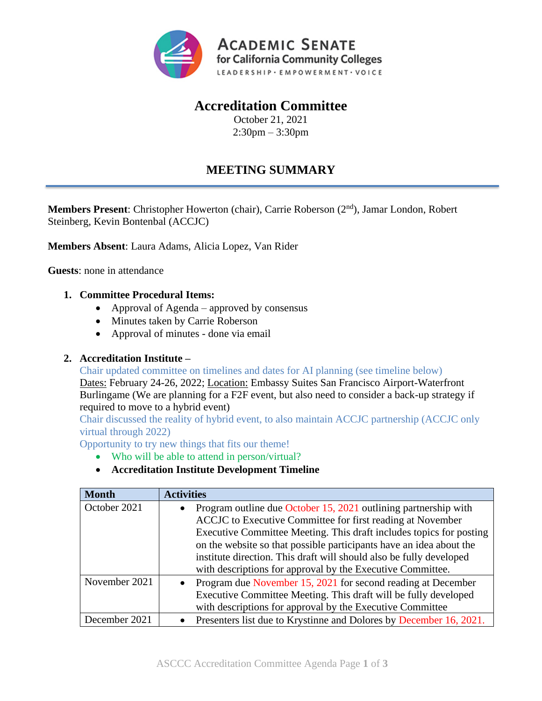

## **Accreditation Committee**

October 21, 2021 2:30pm – 3:30pm

# **MEETING SUMMARY**

**Members Present**: Christopher Howerton (chair), Carrie Roberson (2nd), Jamar London, Robert Steinberg, Kevin Bontenbal (ACCJC)

**Members Absent**: Laura Adams, Alicia Lopez, Van Rider

**Guests**: none in attendance

## **1. Committee Procedural Items:**

- Approval of Agenda approved by consensus
- Minutes taken by Carrie Roberson
- Approval of minutes done via email

## **2. Accreditation Institute –**

Chair updated committee on timelines and dates for AI planning (see timeline below)

Dates: February 24-26, 2022; Location: Embassy Suites San Francisco Airport-Waterfront Burlingame (We are planning for a F2F event, but also need to consider a back-up strategy if required to move to a hybrid event)

Chair discussed the reality of hybrid event, to also maintain ACCJC partnership (ACCJC only virtual through 2022)

Opportunity to try new things that fits our theme!

- Who will be able to attend in person/virtual?
- **Accreditation Institute Development Timeline**

| <b>Month</b>  | <b>Activities</b>                                                               |
|---------------|---------------------------------------------------------------------------------|
| October 2021  | Program outline due October 15, 2021 outlining partnership with<br>$\bullet$    |
|               | ACCJC to Executive Committee for first reading at November                      |
|               | Executive Committee Meeting. This draft includes topics for posting             |
|               | on the website so that possible participants have an idea about the             |
|               | institute direction. This draft will should also be fully developed             |
|               | with descriptions for approval by the Executive Committee.                      |
| November 2021 | Program due November 15, 2021 for second reading at December<br>$\bullet$       |
|               | Executive Committee Meeting. This draft will be fully developed                 |
|               | with descriptions for approval by the Executive Committee                       |
| December 2021 | Presenters list due to Krystinne and Dolores by December 16, 2021.<br>$\bullet$ |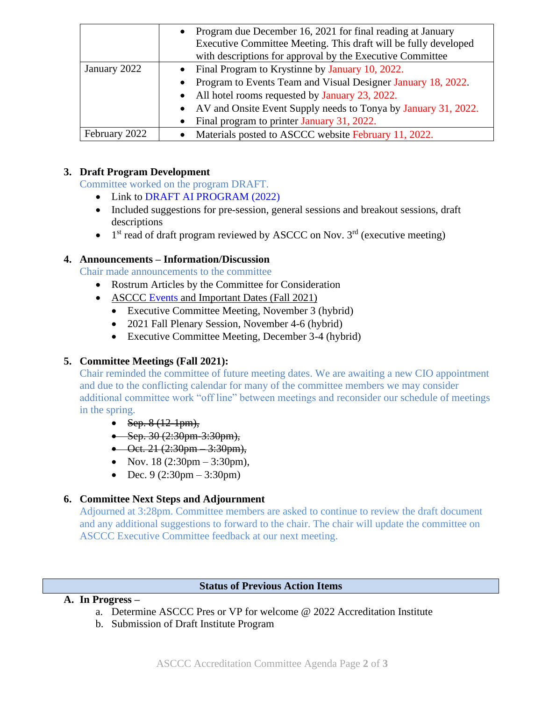|               | Program due December 16, 2021 for final reading at January<br>$\bullet$ |
|---------------|-------------------------------------------------------------------------|
|               | Executive Committee Meeting. This draft will be fully developed         |
|               | with descriptions for approval by the Executive Committee               |
| January 2022  | Final Program to Krystinne by January 10, 2022.<br>$\bullet$            |
|               | • Program to Events Team and Visual Designer January 18, 2022.          |
|               | • All hotel rooms requested by January 23, 2022.                        |
|               | • AV and Onsite Event Supply needs to Tonya by January 31, 2022.        |
|               | Final program to printer January 31, 2022.<br>$\bullet$                 |
| February 2022 | Materials posted to ASCCC website February 11, 2022.                    |

## **3. Draft Program Development**

Committee worked on the program DRAFT.

- Link to [DRAFT AI PROGRAM \(2022\)](https://docs.google.com/document/d/1ersNpgKoKZuZcPRGI-Sba0Jlamug44pK/edit?usp=sharing&ouid=113326573140570920151&rtpof=true&sd=true)
- Included suggestions for pre-session, general sessions and breakout sessions, draft descriptions
- $\bullet$  1<sup>st</sup> read of draft program reviewed by ASCCC on Nov. 3<sup>rd</sup> (executive meeting)

## **4. Announcements – Information/Discussion**

Chair made announcements to the committee

- Rostrum Articles by the Committee for Consideration
- ASCCC [Events](https://asccc.org/calendar/list/events) and Important Dates (Fall 2021)
	- Executive Committee Meeting, November 3 (hybrid)
	- 2021 Fall Plenary Session, November 4-6 (hybrid)
	- Executive Committee Meeting, December 3-4 (hybrid)

## **5. Committee Meetings (Fall 2021):**

Chair reminded the committee of future meeting dates. We are awaiting a new CIO appointment and due to the conflicting calendar for many of the committee members we may consider additional committee work "off line" between meetings and reconsider our schedule of meetings in the spring.

- Sep.  $8(12-1pm)$ ,
- Sep. 30  $(2:30 \text{pm} 3:30 \text{pm})$ ,
- Oct. 21  $(2:30 \text{pm} 3:30 \text{pm})$ ,
- Nov.  $18$  (2:30pm 3:30pm),
- Dec.  $9(2:30 \text{pm} 3:30 \text{pm})$

## **6. Committee Next Steps and Adjournment**

Adjourned at 3:28pm. Committee members are asked to continue to review the draft document and any additional suggestions to forward to the chair. The chair will update the committee on ASCCC Executive Committee feedback at our next meeting.

#### **Status of Previous Action Items**

## **A. In Progress –**

- a. Determine ASCCC Pres or VP for welcome @ 2022 Accreditation Institute
- b. Submission of Draft Institute Program